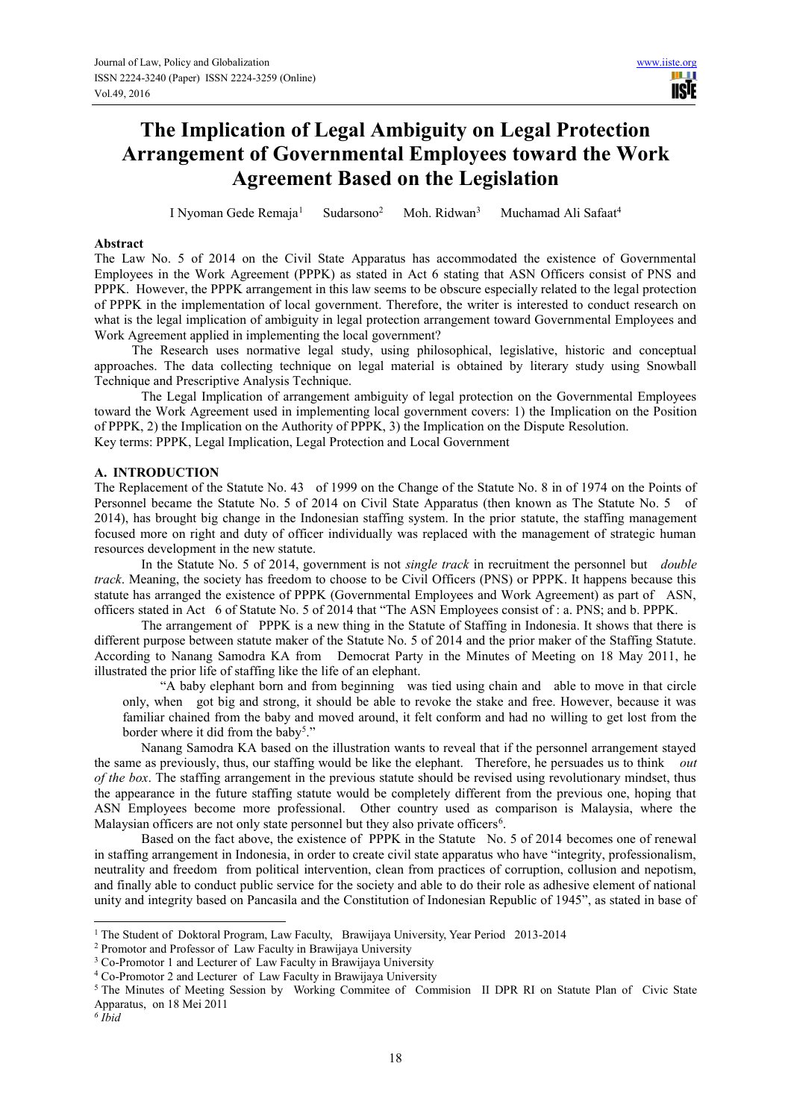# **The Implication of Legal Ambiguity on Legal Protection Arrangement of Governmental Employees toward the Work Agreement Based on the Legislation**

I Nyoman Gede Remaja<sup>1</sup> Sudarsono<sup>2</sup> Moh. Ridwan<sup>3</sup> Muchamad Ali Safaat<sup>4</sup>

## **Abstract**

The Law No. 5 of 2014 on the Civil State Apparatus has accommodated the existence of Governmental Employees in the Work Agreement (PPPK) as stated in Act 6 stating that ASN Officers consist of PNS and PPPK. However, the PPPK arrangement in this law seems to be obscure especially related to the legal protection of PPPK in the implementation of local government. Therefore, the writer is interested to conduct research on what is the legal implication of ambiguity in legal protection arrangement toward Governmental Employees and Work Agreement applied in implementing the local government?

The Research uses normative legal study, using philosophical, legislative, historic and conceptual approaches. The data collecting technique on legal material is obtained by literary study using Snowball Technique and Prescriptive Analysis Technique.

The Legal Implication of arrangement ambiguity of legal protection on the Governmental Employees toward the Work Agreement used in implementing local government covers: 1) the Implication on the Position of PPPK, 2) the Implication on the Authority of PPPK, 3) the Implication on the Dispute Resolution. Key terms: PPPK, Legal Implication, Legal Protection and Local Government

# **A. INTRODUCTION**

The Replacement of the Statute No. 43 of 1999 on the Change of the Statute No. 8 in of 1974 on the Points of Personnel became the Statute No. 5 of 2014 on Civil State Apparatus (then known as The Statute No. 5 of 2014), has brought big change in the Indonesian staffing system. In the prior statute, the staffing management focused more on right and duty of officer individually was replaced with the management of strategic human resources development in the new statute.

In the Statute No. 5 of 2014, government is not *single track* in recruitment the personnel but *double track*. Meaning, the society has freedom to choose to be Civil Officers (PNS) or PPPK. It happens because this statute has arranged the existence of PPPK (Governmental Employees and Work Agreement) as part of ASN, officers stated in Act 6 of Statute No. 5 of 2014 that "The ASN Employees consist of : a. PNS; and b. PPPK.

The arrangement of PPPK is a new thing in the Statute of Staffing in Indonesia. It shows that there is different purpose between statute maker of the Statute No. 5 of 2014 and the prior maker of the Staffing Statute. According to Nanang Samodra KA from Democrat Party in the Minutes of Meeting on 18 May 2011, he illustrated the prior life of staffing like the life of an elephant.

"A baby elephant born and from beginning was tied using chain and able to move in that circle only, when got big and strong, it should be able to revoke the stake and free. However, because it was familiar chained from the baby and moved around, it felt conform and had no willing to get lost from the border where it did from the baby<sup>5</sup>."

Nanang Samodra KA based on the illustration wants to reveal that if the personnel arrangement stayed the same as previously, thus, our staffing would be like the elephant. Therefore, he persuades us to think *out of the box*. The staffing arrangement in the previous statute should be revised using revolutionary mindset, thus the appearance in the future staffing statute would be completely different from the previous one, hoping that ASN Employees become more professional. Other country used as comparison is Malaysia, where the Malaysian officers are not only state personnel but they also private officers<sup>6</sup>.

Based on the fact above, the existence of PPPK in the Statute No. 5 of 2014 becomes one of renewal in staffing arrangement in Indonesia, in order to create civil state apparatus who have "integrity, professionalism, neutrality and freedom from political intervention, clean from practices of corruption, collusion and nepotism, and finally able to conduct public service for the society and able to do their role as adhesive element of national unity and integrity based on Pancasila and the Constitution of Indonesian Republic of 1945", as stated in base of

2 Promotor and Professor of Law Faculty in Brawijaya University

*6 Ibid*

 $\overline{a}$ 

<sup>&</sup>lt;sup>1</sup> The Student of Doktoral Program, Law Faculty, Brawijaya University, Year Period 2013-2014

<sup>&</sup>lt;sup>3</sup> Co-Promotor 1 and Lecturer of Law Faculty in Brawijaya University

<sup>4</sup> Co-Promotor 2 and Lecturer of Law Faculty in Brawijaya University

<sup>&</sup>lt;sup>5</sup> The Minutes of Meeting Session by Working Commitee of Commision II DPR RI on Statute Plan of Civic State Apparatus, on 18 Mei 2011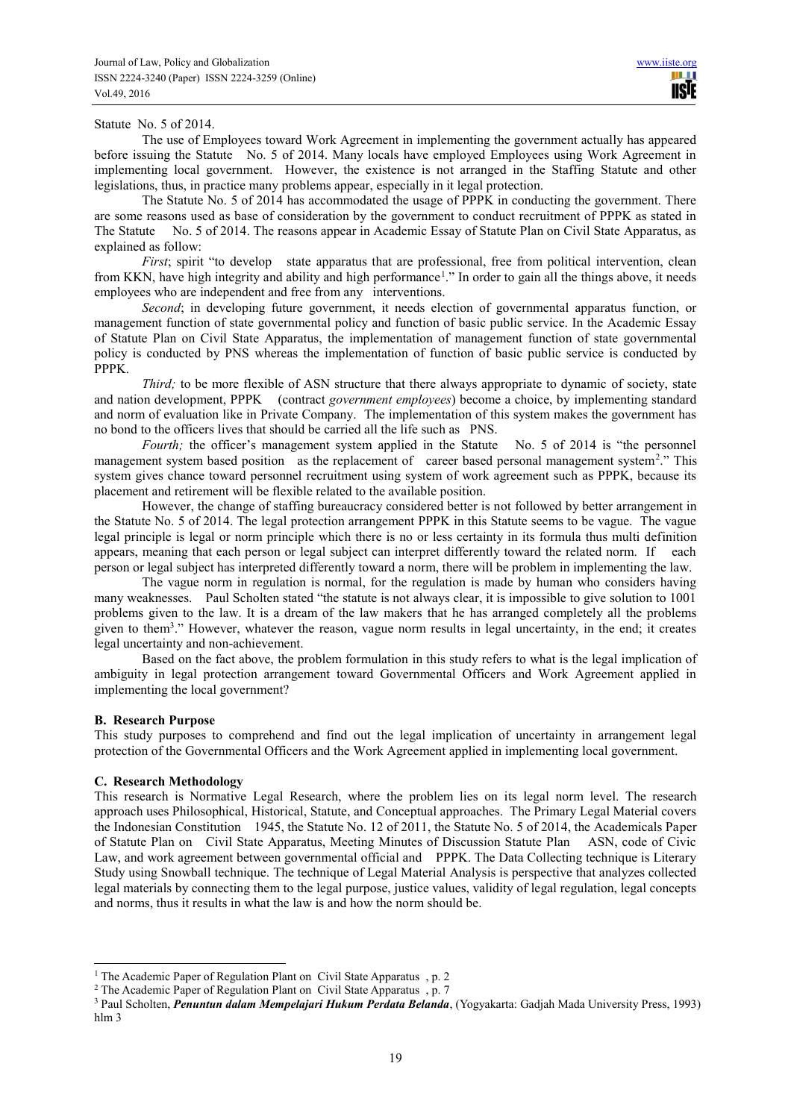#### Statute No. 5 of 2014.

The use of Employees toward Work Agreement in implementing the government actually has appeared before issuing the Statute No. 5 of 2014. Many locals have employed Employees using Work Agreement in implementing local government. However, the existence is not arranged in the Staffing Statute and other legislations, thus, in practice many problems appear, especially in it legal protection.

The Statute No. 5 of 2014 has accommodated the usage of PPPK in conducting the government. There are some reasons used as base of consideration by the government to conduct recruitment of PPPK as stated in The Statute No. 5 of 2014. The reasons appear in Academic Essay of Statute Plan on Civil State Apparatus, as explained as follow:

*First*; spirit "to develop state apparatus that are professional, free from political intervention, clean from KKN, have high integrity and ability and high performance<sup>1</sup>." In order to gain all the things above, it needs employees who are independent and free from any interventions.

*Second*; in developing future government, it needs election of governmental apparatus function, or management function of state governmental policy and function of basic public service. In the Academic Essay of Statute Plan on Civil State Apparatus, the implementation of management function of state governmental policy is conducted by PNS whereas the implementation of function of basic public service is conducted by PPPK.

*Third;* to be more flexible of ASN structure that there always appropriate to dynamic of society, state and nation development, PPPK (contract *government employees*) become a choice, by implementing standard and norm of evaluation like in Private Company. The implementation of this system makes the government has no bond to the officers lives that should be carried all the life such as PNS.

*Fourth;* the officer's management system applied in the Statute No. 5 of 2014 is "the personnel" management system based position as the replacement of career based personal management system<sup>2</sup>." This system gives chance toward personnel recruitment using system of work agreement such as PPPK, because its placement and retirement will be flexible related to the available position.

However, the change of staffing bureaucracy considered better is not followed by better arrangement in the Statute No. 5 of 2014. The legal protection arrangement PPPK in this Statute seems to be vague. The vague legal principle is legal or norm principle which there is no or less certainty in its formula thus multi definition appears, meaning that each person or legal subject can interpret differently toward the related norm. If each person or legal subject has interpreted differently toward a norm, there will be problem in implementing the law.

The vague norm in regulation is normal, for the regulation is made by human who considers having many weaknesses. Paul Scholten stated "the statute is not always clear, it is impossible to give solution to 1001 problems given to the law. It is a dream of the law makers that he has arranged completely all the problems given to them<sup>3</sup>." However, whatever the reason, vague norm results in legal uncertainty, in the end; it creates legal uncertainty and non-achievement.

Based on the fact above, the problem formulation in this study refers to what is the legal implication of ambiguity in legal protection arrangement toward Governmental Officers and Work Agreement applied in implementing the local government?

# **B. Research Purpose**

 $\overline{a}$ 

This study purposes to comprehend and find out the legal implication of uncertainty in arrangement legal protection of the Governmental Officers and the Work Agreement applied in implementing local government.

# **C. Research Methodology**

This research is Normative Legal Research, where the problem lies on its legal norm level. The research approach uses Philosophical, Historical, Statute, and Conceptual approaches. The Primary Legal Material covers the Indonesian Constitution 1945, the Statute No. 12 of 2011, the Statute No. 5 of 2014, the Academicals Paper of Statute Plan on Civil State Apparatus, Meeting Minutes of Discussion Statute Plan ASN, code of Civic Law, and work agreement between governmental official and PPPK. The Data Collecting technique is Literary Study using Snowball technique. The technique of Legal Material Analysis is perspective that analyzes collected legal materials by connecting them to the legal purpose, justice values, validity of legal regulation, legal concepts and norms, thus it results in what the law is and how the norm should be.

<sup>&</sup>lt;sup>1</sup> The Academic Paper of Regulation Plant on Civil State Apparatus, p. 2

<sup>&</sup>lt;sup>2</sup> The Academic Paper of Regulation Plant on Civil State Apparatus, p. 7

<sup>3</sup> Paul Scholten, *Penuntun dalam Mempelajari Hukum Perdata Belanda*, (Yogyakarta: Gadjah Mada University Press, 1993) hlm 3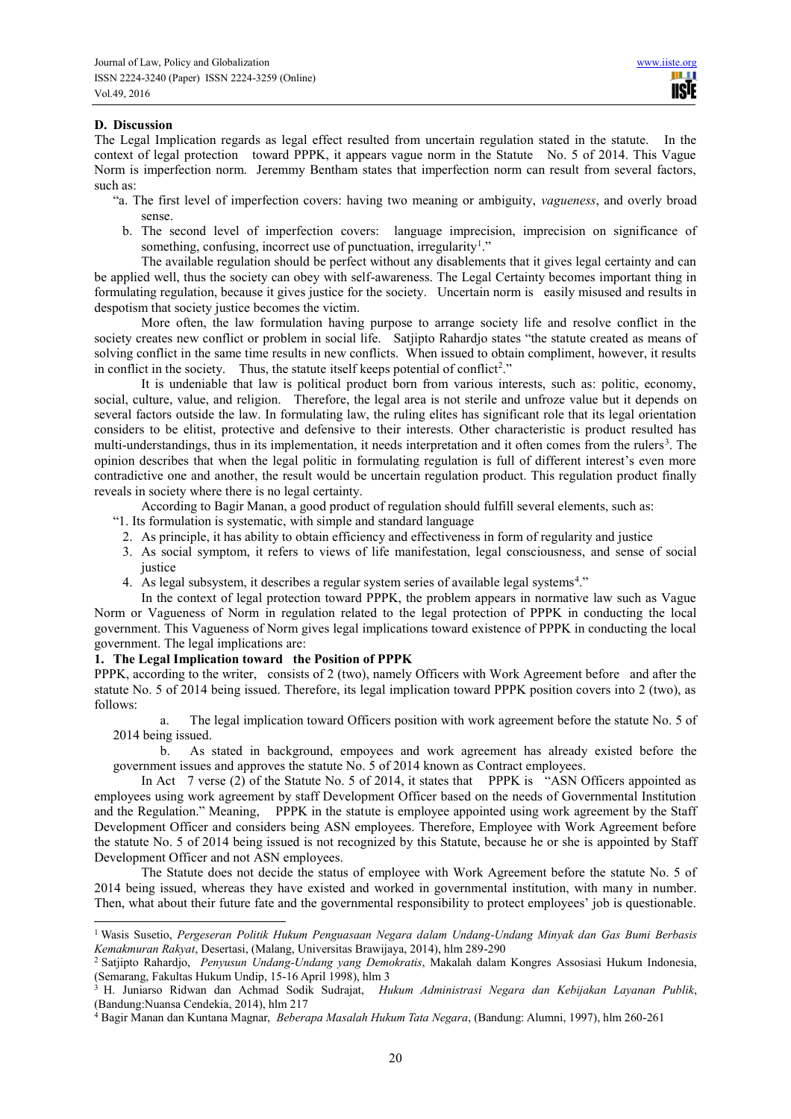# **D. Discussion**

 $\overline{a}$ 

The Legal Implication regards as legal effect resulted from uncertain regulation stated in the statute. In the context of legal protection toward PPPK, it appears vague norm in the Statute No. 5 of 2014. This Vague Norm is imperfection norm. Jeremmy Bentham states that imperfection norm can result from several factors, such as:

- "a. The first level of imperfection covers: having two meaning or ambiguity, *vagueness*, and overly broad sense.
	- b. The second level of imperfection covers: language imprecision, imprecision on significance of something, confusing, incorrect use of punctuation, irregularity<sup>1</sup>."

The available regulation should be perfect without any disablements that it gives legal certainty and can be applied well, thus the society can obey with self-awareness. The Legal Certainty becomes important thing in formulating regulation, because it gives justice for the society. Uncertain norm is easily misused and results in despotism that society justice becomes the victim.

More often, the law formulation having purpose to arrange society life and resolve conflict in the society creates new conflict or problem in social life. Satjipto Rahardjo states "the statute created as means of solving conflict in the same time results in new conflicts. When issued to obtain compliment, however, it results in conflict in the society. Thus, the statute itself keeps potential of conflict<sup>2</sup>."

It is undeniable that law is political product born from various interests, such as: politic, economy, social, culture, value, and religion. Therefore, the legal area is not sterile and unfroze value but it depends on several factors outside the law. In formulating law, the ruling elites has significant role that its legal orientation considers to be elitist, protective and defensive to their interests. Other characteristic is product resulted has multi-understandings, thus in its implementation, it needs interpretation and it often comes from the rulers<sup>3</sup>. The opinion describes that when the legal politic in formulating regulation is full of different interest's even more contradictive one and another, the result would be uncertain regulation product. This regulation product finally reveals in society where there is no legal certainty.

According to Bagir Manan, a good product of regulation should fulfill several elements, such as:

- "1. Its formulation is systematic, with simple and standard language
	- 2. As principle, it has ability to obtain efficiency and effectiveness in form of regularity and justice
	- 3. As social symptom, it refers to views of life manifestation, legal consciousness, and sense of social justice
	- 4. As legal subsystem, it describes a regular system series of available legal systems<sup>4</sup>."

In the context of legal protection toward PPPK, the problem appears in normative law such as Vague Norm or Vagueness of Norm in regulation related to the legal protection of PPPK in conducting the local government. This Vagueness of Norm gives legal implications toward existence of PPPK in conducting the local government. The legal implications are:

#### **1. The Legal Implication toward the Position of PPPK**

PPPK, according to the writer, consists of 2 (two), namely Officers with Work Agreement before and after the statute No. 5 of 2014 being issued. Therefore, its legal implication toward PPPK position covers into 2 (two), as follows:

a. The legal implication toward Officers position with work agreement before the statute No. 5 of 2014 being issued.

b. As stated in background, empoyees and work agreement has already existed before the government issues and approves the statute No. 5 of 2014 known as Contract employees.

In Act 7 verse (2) of the Statute No. 5 of 2014, it states that PPPK is "ASN Officers appointed as employees using work agreement by staff Development Officer based on the needs of Governmental Institution and the Regulation." Meaning, PPPK in the statute is employee appointed using work agreement by the Staff Development Officer and considers being ASN employees. Therefore, Employee with Work Agreement before the statute No. 5 of 2014 being issued is not recognized by this Statute, because he or she is appointed by Staff Development Officer and not ASN employees.

The Statute does not decide the status of employee with Work Agreement before the statute No. 5 of 2014 being issued, whereas they have existed and worked in governmental institution, with many in number. Then, what about their future fate and the governmental responsibility to protect employees' job is questionable.

<sup>1</sup> Wasis Susetio, *Pergeseran Politik Hukum Penguasaan Negara dalam Undang-Undang Minyak dan Gas Bumi Berbasis Kemakmuran Rakyat*, Desertasi, (Malang, Universitas Brawijaya, 2014), hlm 289-290

<sup>2</sup> Satjipto Rahardjo, *Penyusun Undang-Undang yang Demokratis*, Makalah dalam Kongres Assosiasi Hukum Indonesia, (Semarang, Fakultas Hukum Undip, 15-16 April 1998), hlm 3

<sup>3</sup> H. Juniarso Ridwan dan Achmad Sodik Sudrajat, *Hukum Administrasi Negara dan Kebijakan Layanan Publik*, (Bandung:Nuansa Cendekia, 2014), hlm 217

<sup>4</sup> Bagir Manan dan Kuntana Magnar, *Beberapa Masalah Hukum Tata Negara*, (Bandung: Alumni, 1997), hlm 260-261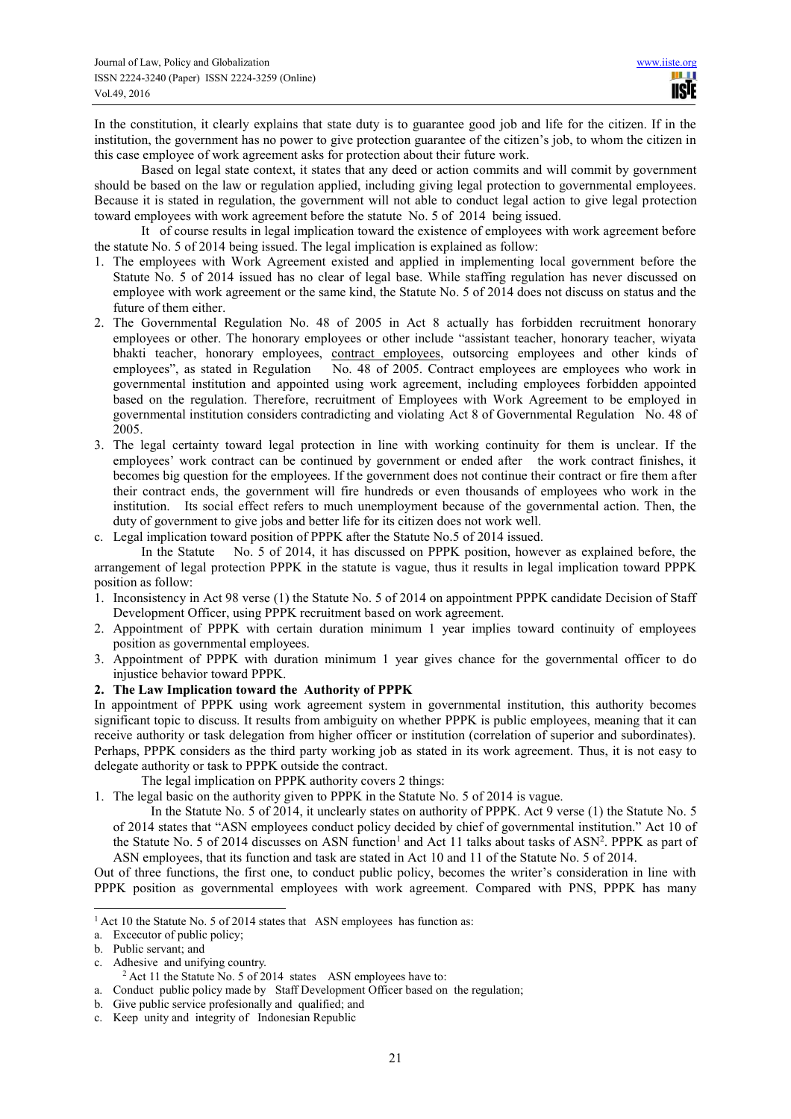In the constitution, it clearly explains that state duty is to guarantee good job and life for the citizen. If in the institution, the government has no power to give protection guarantee of the citizen's job, to whom the citizen in this case employee of work agreement asks for protection about their future work.

Based on legal state context, it states that any deed or action commits and will commit by government should be based on the law or regulation applied, including giving legal protection to governmental employees. Because it is stated in regulation, the government will not able to conduct legal action to give legal protection toward employees with work agreement before the statute No. 5 of 2014 being issued.

It of course results in legal implication toward the existence of employees with work agreement before the statute No. 5 of 2014 being issued. The legal implication is explained as follow:

- 1. The employees with Work Agreement existed and applied in implementing local government before the Statute No. 5 of 2014 issued has no clear of legal base. While staffing regulation has never discussed on employee with work agreement or the same kind, the Statute No. 5 of 2014 does not discuss on status and the future of them either.
- 2. The Governmental Regulation No. 48 of 2005 in Act 8 actually has forbidden recruitment honorary employees or other. The honorary employees or other include "assistant teacher, honorary teacher, wiyata bhakti teacher, honorary employees, contract employees, outsorcing employees and other kinds of employees", as stated in Regulation No. 48 of 2005. Contract employees are employees who work in governmental institution and appointed using work agreement, including employees forbidden appointed based on the regulation. Therefore, recruitment of Employees with Work Agreement to be employed in governmental institution considers contradicting and violating Act 8 of Governmental Regulation No. 48 of 2005.
- 3. The legal certainty toward legal protection in line with working continuity for them is unclear. If the employees' work contract can be continued by government or ended after the work contract finishes, it becomes big question for the employees. If the government does not continue their contract or fire them after their contract ends, the government will fire hundreds or even thousands of employees who work in the institution. Its social effect refers to much unemployment because of the governmental action. Then, the duty of government to give jobs and better life for its citizen does not work well.
- c. Legal implication toward position of PPPK after the Statute No.5 of 2014 issued.

In the Statute No. 5 of 2014, it has discussed on PPPK position, however as explained before, the arrangement of legal protection PPPK in the statute is vague, thus it results in legal implication toward PPPK position as follow:

- 1. Inconsistency in Act 98 verse (1) the Statute No. 5 of 2014 on appointment PPPK candidate Decision of Staff Development Officer, using PPPK recruitment based on work agreement.
- 2. Appointment of PPPK with certain duration minimum 1 year implies toward continuity of employees position as governmental employees.
- 3. Appointment of PPPK with duration minimum 1 year gives chance for the governmental officer to do injustice behavior toward PPPK.

# **2. The Law Implication toward the Authority of PPPK**

In appointment of PPPK using work agreement system in governmental institution, this authority becomes significant topic to discuss. It results from ambiguity on whether PPPK is public employees, meaning that it can receive authority or task delegation from higher officer or institution (correlation of superior and subordinates). Perhaps, PPPK considers as the third party working job as stated in its work agreement. Thus, it is not easy to delegate authority or task to PPPK outside the contract.

The legal implication on PPPK authority covers 2 things:

1. The legal basic on the authority given to PPPK in the Statute No. 5 of 2014 is vague.

In the Statute No. 5 of 2014, it unclearly states on authority of PPPK. Act 9 verse (1) the Statute No. 5 of 2014 states that "ASN employees conduct policy decided by chief of governmental institution." Act 10 of the Statute No. 5 of 2014 discusses on ASN function<sup>1</sup> and Act 11 talks about tasks of ASN<sup>2</sup>. PPPK as part of ASN employees, that its function and task are stated in Act 10 and 11 of the Statute No. 5 of 2014.

Out of three functions, the first one, to conduct public policy, becomes the writer's consideration in line with PPPK position as governmental employees with work agreement. Compared with PNS, PPPK has many

 $\overline{a}$ 

c. Adhesive and unifying country.

<sup>&</sup>lt;sup>1</sup> Act 10 the Statute No. 5 of 2014 states that ASN employees has function as:

a. Excecutor of public policy;

b. Public servant; and

<sup>&</sup>lt;sup>2</sup> Act 11 the Statute No. 5 of 2014 states ASN employees have to:

a. Conduct public policy made by Staff Development Officer based on the regulation;

b. Give public service profesionally and qualified; and

c. Keep unity and integrity of Indonesian Republic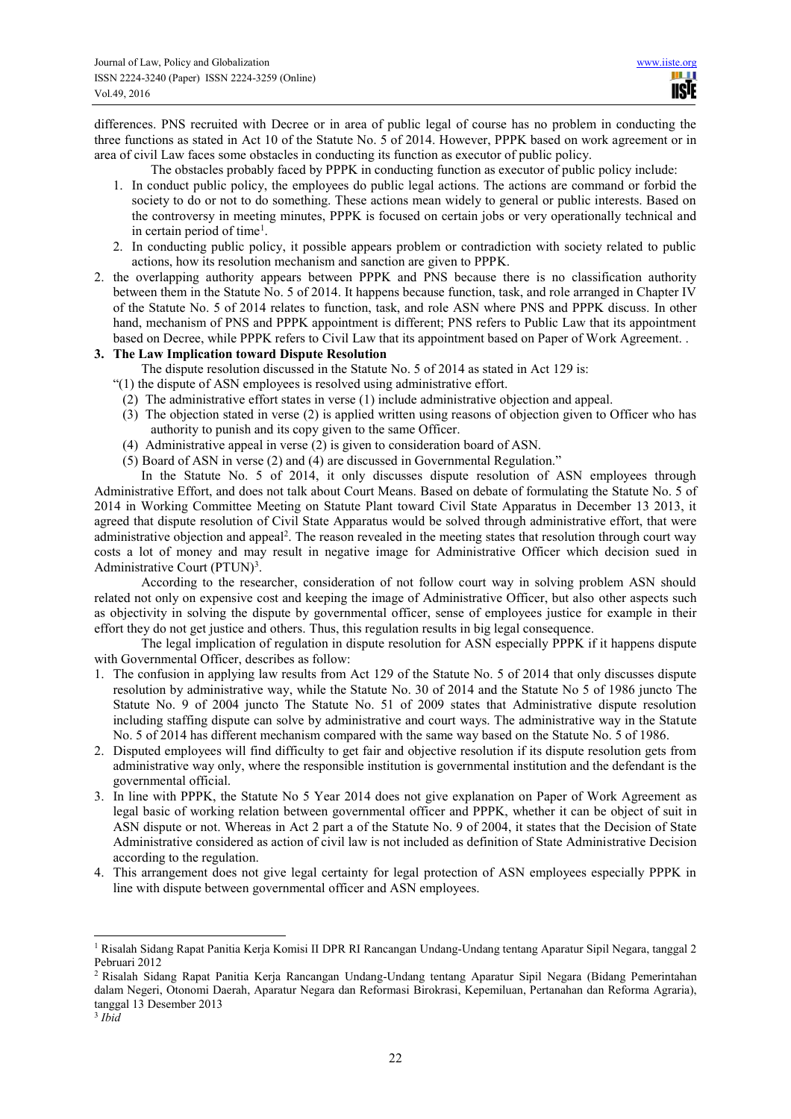differences. PNS recruited with Decree or in area of public legal of course has no problem in conducting the three functions as stated in Act 10 of the Statute No. 5 of 2014. However, PPPK based on work agreement or in area of civil Law faces some obstacles in conducting its function as executor of public policy.

The obstacles probably faced by PPPK in conducting function as executor of public policy include:

- 1. In conduct public policy, the employees do public legal actions. The actions are command or forbid the society to do or not to do something. These actions mean widely to general or public interests. Based on the controversy in meeting minutes, PPPK is focused on certain jobs or very operationally technical and in certain period of time<sup>1</sup>.
- 2. In conducting public policy, it possible appears problem or contradiction with society related to public actions, how its resolution mechanism and sanction are given to PPPK.
- 2. the overlapping authority appears between PPPK and PNS because there is no classification authority between them in the Statute No. 5 of 2014. It happens because function, task, and role arranged in Chapter IV of the Statute No. 5 of 2014 relates to function, task, and role ASN where PNS and PPPK discuss. In other hand, mechanism of PNS and PPPK appointment is different; PNS refers to Public Law that its appointment based on Decree, while PPPK refers to Civil Law that its appointment based on Paper of Work Agreement. .

# **3. The Law Implication toward Dispute Resolution**

The dispute resolution discussed in the Statute No. 5 of 2014 as stated in Act 129 is:

- "(1) the dispute of ASN employees is resolved using administrative effort.
	- (2) The administrative effort states in verse (1) include administrative objection and appeal.
	- (3) The objection stated in verse (2) is applied written using reasons of objection given to Officer who has authority to punish and its copy given to the same Officer.
	- (4) Administrative appeal in verse (2) is given to consideration board of ASN.
	- (5) Board of ASN in verse (2) and (4) are discussed in Governmental Regulation."

In the Statute No. 5 of 2014, it only discusses dispute resolution of ASN employees through Administrative Effort, and does not talk about Court Means. Based on debate of formulating the Statute No. 5 of 2014 in Working Committee Meeting on Statute Plant toward Civil State Apparatus in December 13 2013, it agreed that dispute resolution of Civil State Apparatus would be solved through administrative effort, that were administrative objection and appeal<sup>2</sup>. The reason revealed in the meeting states that resolution through court way costs a lot of money and may result in negative image for Administrative Officer which decision sued in Administrative Court (PTUN)<sup>3</sup>.

According to the researcher, consideration of not follow court way in solving problem ASN should related not only on expensive cost and keeping the image of Administrative Officer, but also other aspects such as objectivity in solving the dispute by governmental officer, sense of employees justice for example in their effort they do not get justice and others. Thus, this regulation results in big legal consequence.

The legal implication of regulation in dispute resolution for ASN especially PPPK if it happens dispute with Governmental Officer, describes as follow:

- 1. The confusion in applying law results from Act 129 of the Statute No. 5 of 2014 that only discusses dispute resolution by administrative way, while the Statute No. 30 of 2014 and the Statute No 5 of 1986 juncto The Statute No. 9 of 2004 juncto The Statute No. 51 of 2009 states that Administrative dispute resolution including staffing dispute can solve by administrative and court ways. The administrative way in the Statute No. 5 of 2014 has different mechanism compared with the same way based on the Statute No. 5 of 1986.
- 2. Disputed employees will find difficulty to get fair and objective resolution if its dispute resolution gets from administrative way only, where the responsible institution is governmental institution and the defendant is the governmental official.
- 3. In line with PPPK, the Statute No 5 Year 2014 does not give explanation on Paper of Work Agreement as legal basic of working relation between governmental officer and PPPK, whether it can be object of suit in ASN dispute or not. Whereas in Act 2 part a of the Statute No. 9 of 2004, it states that the Decision of State Administrative considered as action of civil law is not included as definition of State Administrative Decision according to the regulation.
- 4. This arrangement does not give legal certainty for legal protection of ASN employees especially PPPK in line with dispute between governmental officer and ASN employees.

 $\overline{a}$ 

<sup>1</sup> Risalah Sidang Rapat Panitia Kerja Komisi II DPR RI Rancangan Undang-Undang tentang Aparatur Sipil Negara, tanggal 2 Pebruari 2012

<sup>2</sup> Risalah Sidang Rapat Panitia Kerja Rancangan Undang-Undang tentang Aparatur Sipil Negara (Bidang Pemerintahan dalam Negeri, Otonomi Daerah, Aparatur Negara dan Reformasi Birokrasi, Kepemiluan, Pertanahan dan Reforma Agraria), tanggal 13 Desember 2013

<sup>3</sup> *Ibid*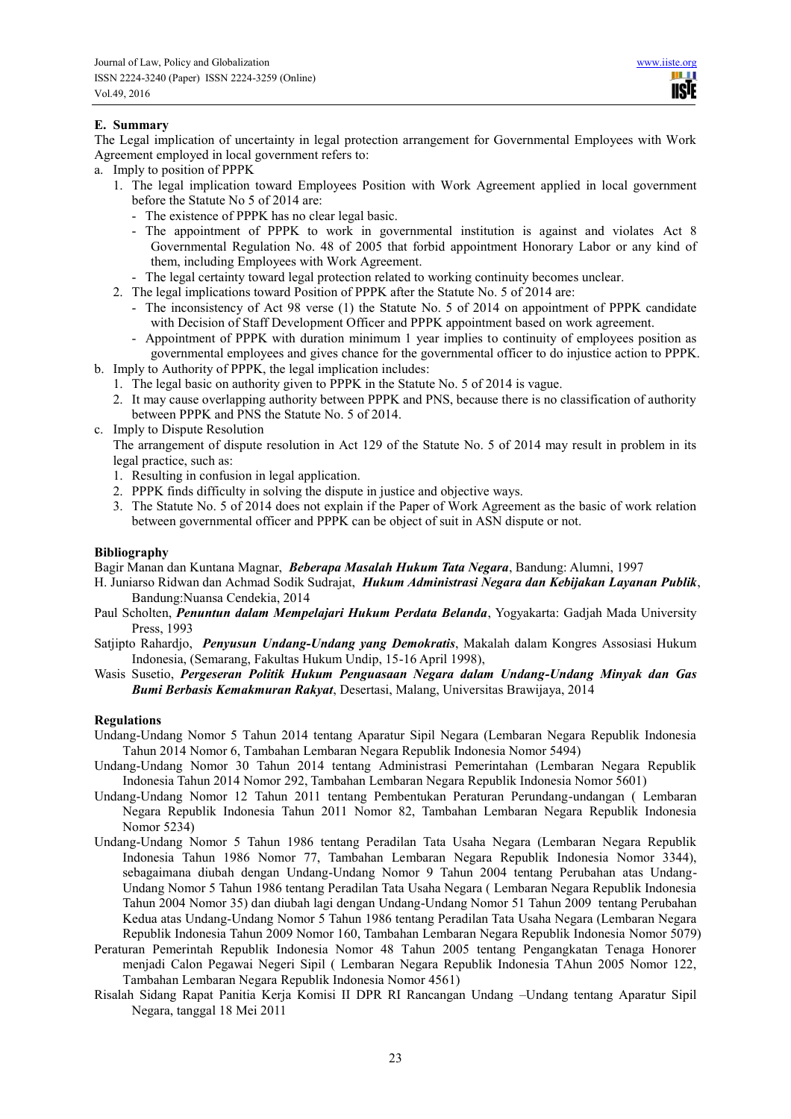# **E. Summary**

The Legal implication of uncertainty in legal protection arrangement for Governmental Employees with Work Agreement employed in local government refers to:

- a. Imply to position of PPPK
	- 1. The legal implication toward Employees Position with Work Agreement applied in local government before the Statute No 5 of 2014 are:
		- The existence of PPPK has no clear legal basic.
		- The appointment of PPPK to work in governmental institution is against and violates Act 8 Governmental Regulation No. 48 of 2005 that forbid appointment Honorary Labor or any kind of them, including Employees with Work Agreement.
		- The legal certainty toward legal protection related to working continuity becomes unclear.
	- 2. The legal implications toward Position of PPPK after the Statute No. 5 of 2014 are:
		- The inconsistency of Act 98 verse (1) the Statute No. 5 of 2014 on appointment of PPPK candidate with Decision of Staff Development Officer and PPPK appointment based on work agreement.
		- Appointment of PPPK with duration minimum 1 year implies to continuity of employees position as governmental employees and gives chance for the governmental officer to do injustice action to PPPK.
- b. Imply to Authority of PPPK, the legal implication includes:
	- 1. The legal basic on authority given to PPPK in the Statute No. 5 of 2014 is vague.
	- 2. It may cause overlapping authority between PPPK and PNS, because there is no classification of authority between PPPK and PNS the Statute No. 5 of 2014.
- c. Imply to Dispute Resolution

The arrangement of dispute resolution in Act 129 of the Statute No. 5 of 2014 may result in problem in its legal practice, such as:

- 1. Resulting in confusion in legal application.
- 2. PPPK finds difficulty in solving the dispute in justice and objective ways.
- 3. The Statute No. 5 of 2014 does not explain if the Paper of Work Agreement as the basic of work relation between governmental officer and PPPK can be object of suit in ASN dispute or not.

## **Bibliography**

Bagir Manan dan Kuntana Magnar, *Beberapa Masalah Hukum Tata Negara*, Bandung: Alumni, 1997

- H. Juniarso Ridwan dan Achmad Sodik Sudrajat, *Hukum Administrasi Negara dan Kebijakan Layanan Publik*, Bandung:Nuansa Cendekia, 2014
- Paul Scholten, *Penuntun dalam Mempelajari Hukum Perdata Belanda*, Yogyakarta: Gadjah Mada University Press, 1993
- Satjipto Rahardjo, *Penyusun Undang-Undang yang Demokratis*, Makalah dalam Kongres Assosiasi Hukum Indonesia, (Semarang, Fakultas Hukum Undip, 15-16 April 1998),
- Wasis Susetio, *Pergeseran Politik Hukum Penguasaan Negara dalam Undang-Undang Minyak dan Gas Bumi Berbasis Kemakmuran Rakyat*, Desertasi, Malang, Universitas Brawijaya, 2014

#### **Regulations**

- Undang-Undang Nomor 5 Tahun 2014 tentang Aparatur Sipil Negara (Lembaran Negara Republik Indonesia Tahun 2014 Nomor 6, Tambahan Lembaran Negara Republik Indonesia Nomor 5494)
- Undang-Undang Nomor 30 Tahun 2014 tentang Administrasi Pemerintahan (Lembaran Negara Republik Indonesia Tahun 2014 Nomor 292, Tambahan Lembaran Negara Republik Indonesia Nomor 5601)
- Undang-Undang Nomor 12 Tahun 2011 tentang Pembentukan Peraturan Perundang-undangan ( Lembaran Negara Republik Indonesia Tahun 2011 Nomor 82, Tambahan Lembaran Negara Republik Indonesia Nomor 5234)
- Undang-Undang Nomor 5 Tahun 1986 tentang Peradilan Tata Usaha Negara (Lembaran Negara Republik Indonesia Tahun 1986 Nomor 77, Tambahan Lembaran Negara Republik Indonesia Nomor 3344), sebagaimana diubah dengan Undang-Undang Nomor 9 Tahun 2004 tentang Perubahan atas Undang-Undang Nomor 5 Tahun 1986 tentang Peradilan Tata Usaha Negara ( Lembaran Negara Republik Indonesia Tahun 2004 Nomor 35) dan diubah lagi dengan Undang-Undang Nomor 51 Tahun 2009 tentang Perubahan Kedua atas Undang-Undang Nomor 5 Tahun 1986 tentang Peradilan Tata Usaha Negara (Lembaran Negara Republik Indonesia Tahun 2009 Nomor 160, Tambahan Lembaran Negara Republik Indonesia Nomor 5079)
- Peraturan Pemerintah Republik Indonesia Nomor 48 Tahun 2005 tentang Pengangkatan Tenaga Honorer menjadi Calon Pegawai Negeri Sipil ( Lembaran Negara Republik Indonesia TAhun 2005 Nomor 122, Tambahan Lembaran Negara Republik Indonesia Nomor 4561)
- Risalah Sidang Rapat Panitia Kerja Komisi II DPR RI Rancangan Undang –Undang tentang Aparatur Sipil Negara, tanggal 18 Mei 2011